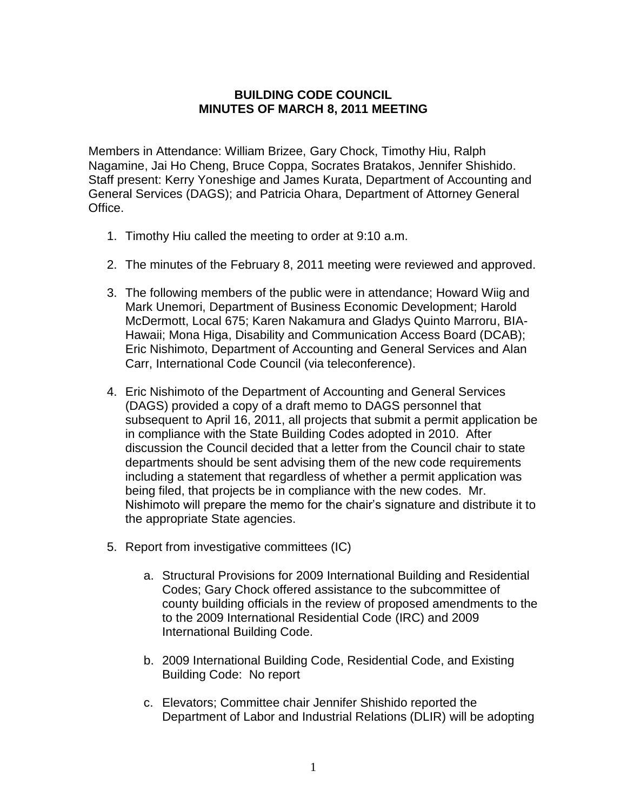## **BUILDING CODE COUNCIL MINUTES OF MARCH 8, 2011 MEETING**

Members in Attendance: William Brizee, Gary Chock, Timothy Hiu, Ralph Nagamine, Jai Ho Cheng, Bruce Coppa, Socrates Bratakos, Jennifer Shishido. Staff present: Kerry Yoneshige and James Kurata, Department of Accounting and General Services (DAGS); and Patricia Ohara, Department of Attorney General Office.

- 1. Timothy Hiu called the meeting to order at 9:10 a.m.
- 2. The minutes of the February 8, 2011 meeting were reviewed and approved.
- 3. The following members of the public were in attendance; Howard Wiig and Mark Unemori, Department of Business Economic Development; Harold McDermott, Local 675; Karen Nakamura and Gladys Quinto Marroru, BIA-Hawaii; Mona Higa, Disability and Communication Access Board (DCAB); Eric Nishimoto, Department of Accounting and General Services and Alan Carr, International Code Council (via teleconference).
- 4. Eric Nishimoto of the Department of Accounting and General Services (DAGS) provided a copy of a draft memo to DAGS personnel that subsequent to April 16, 2011, all projects that submit a permit application be in compliance with the State Building Codes adopted in 2010. After discussion the Council decided that a letter from the Council chair to state departments should be sent advising them of the new code requirements including a statement that regardless of whether a permit application was being filed, that projects be in compliance with the new codes. Mr. Nishimoto will prepare the memo for the chair's signature and distribute it to the appropriate State agencies.
- 5. Report from investigative committees (IC)
	- a. Structural Provisions for 2009 International Building and Residential Codes; Gary Chock offered assistance to the subcommittee of county building officials in the review of proposed amendments to the to the 2009 International Residential Code (IRC) and 2009 International Building Code.
	- b. 2009 International Building Code, Residential Code, and Existing Building Code: No report
	- c. Elevators; Committee chair Jennifer Shishido reported the Department of Labor and Industrial Relations (DLIR) will be adopting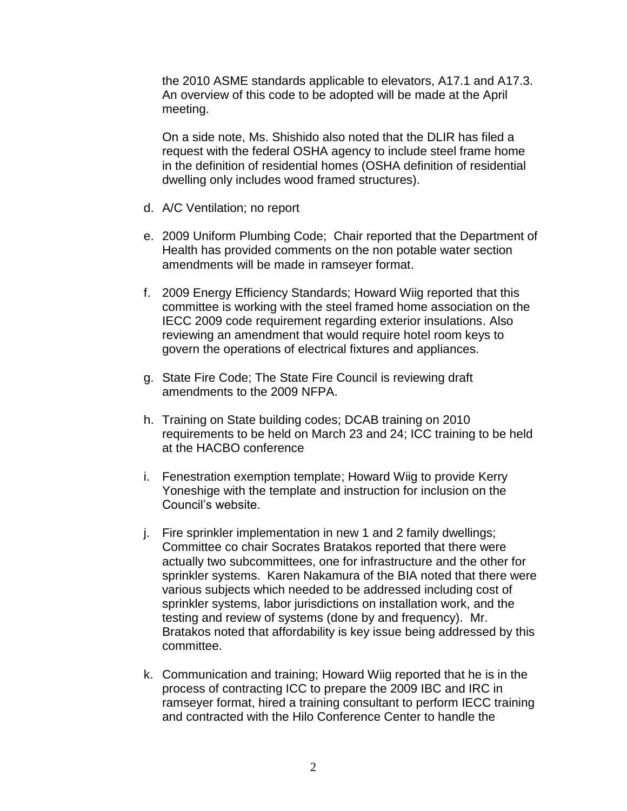the 2010 ASME standards applicable to elevators, A17.1 and A17.3. An overview of this code to be adopted will be made at the April meeting.

On a side note, Ms. Shishido also noted that the DLIR has filed a request with the federal OSHA agency to include steel frame home in the definition of residential homes (OSHA definition of residential dwelling only includes wood framed structures).

- d. A/C Ventilation; no report
- e. 2009 Uniform Plumbing Code; Chair reported that the Department of Health has provided comments on the non potable water section amendments will be made in ramseyer format.
- f. 2009 Energy Efficiency Standards; Howard Wiig reported that this committee is working with the steel framed home association on the IECC 2009 code requirement regarding exterior insulations. Also reviewing an amendment that would require hotel room keys to govern the operations of electrical fixtures and appliances.
- g. State Fire Code; The State Fire Council is reviewing draft amendments to the 2009 NFPA.
- h. Training on State building codes; DCAB training on 2010 requirements to be held on March 23 and 24; ICC training to be held at the HACBO conference
- i. Fenestration exemption template; Howard Wiig to provide Kerry Yoneshige with the template and instruction for inclusion on the Council's website.
- j. Fire sprinkler implementation in new 1 and 2 family dwellings; Committee co chair Socrates Bratakos reported that there were actually two subcommittees, one for infrastructure and the other for sprinkler systems. Karen Nakamura of the BIA noted that there were various subjects which needed to be addressed including cost of sprinkler systems, labor jurisdictions on installation work, and the testing and review of systems (done by and frequency). Mr. Bratakos noted that affordability is key issue being addressed by this committee.
- k. Communication and training; Howard Wiig reported that he is in the process of contracting ICC to prepare the 2009 IBC and IRC in ramseyer format, hired a training consultant to perform IECC training and contracted with the Hilo Conference Center to handle the